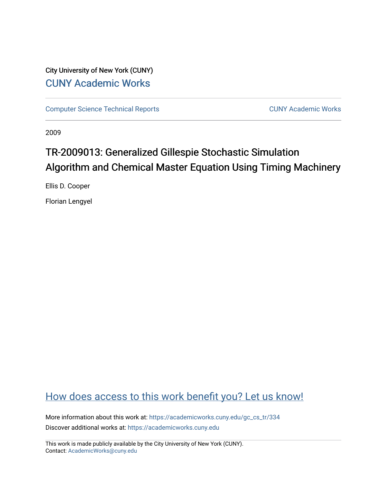# City University of New York (CUNY) [CUNY Academic Works](https://academicworks.cuny.edu/)

[Computer Science Technical Reports](https://academicworks.cuny.edu/gc_cs_tr) **CUNY Academic Works** CUNY Academic Works

2009

# TR-2009013: Generalized Gillespie Stochastic Simulation Algorithm and Chemical Master Equation Using Timing Machinery

Ellis D. Cooper

Florian Lengyel

# [How does access to this work benefit you? Let us know!](http://ols.cuny.edu/academicworks/?ref=https://academicworks.cuny.edu/gc_cs_tr/334)

More information about this work at: [https://academicworks.cuny.edu/gc\\_cs\\_tr/334](https://academicworks.cuny.edu/gc_cs_tr/334)  Discover additional works at: [https://academicworks.cuny.edu](https://academicworks.cuny.edu/?)

This work is made publicly available by the City University of New York (CUNY). Contact: [AcademicWorks@cuny.edu](mailto:AcademicWorks@cuny.edu)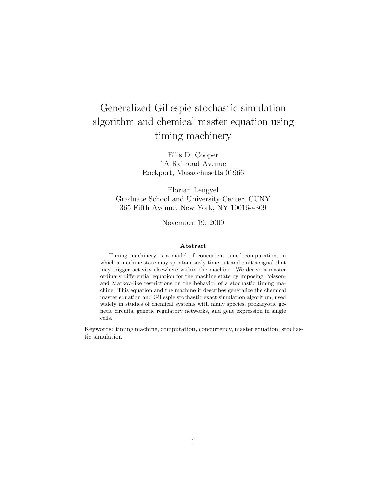# Generalized Gillespie stochastic simulation algorithm and chemical master equation using timing machinery

Ellis D. Cooper 1A Railroad Avenue Rockport, Massachusetts 01966

Florian Lengyel Graduate School and University Center, CUNY 365 Fifth Avenue, New York, NY 10016-4309

November 19, 2009

#### Abstract

Timing machinery is a model of concurrent timed computation, in which a machine state may spontaneously time out and emit a signal that may trigger activity elsewhere within the machine. We derive a master ordinary differential equation for the machine state by imposing Poissonand Markov-like restrictions on the behavior of a stochastic timing machine. This equation and the machine it describes generalize the chemical master equation and Gillespie stochastic exact simulation algorithm, used widely in studies of chemical systems with many species, prokaryotic genetic circuits, genetic regulatory networks, and gene expression in single cells.

Keywords: timing machine, computation, concurrency, master equation, stochastic simulation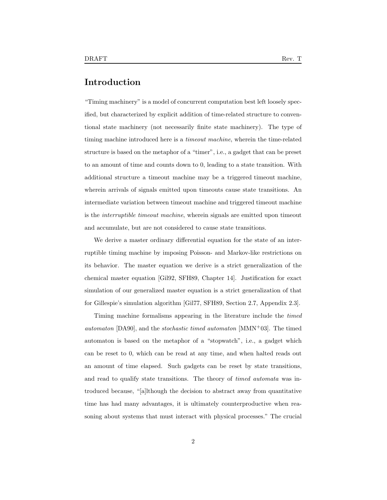## Introduction

"Timing machinery" is a model of concurrent computation best left loosely specified, but characterized by explicit addition of time-related structure to conventional state machinery (not necessarily finite state machinery). The type of timing machine introduced here is a timeout machine, wherein the time-related structure is based on the metaphor of a "timer", i.e., a gadget that can be preset to an amount of time and counts down to 0, leading to a state transition. With additional structure a timeout machine may be a triggered timeout machine, wherein arrivals of signals emitted upon timeouts cause state transitions. An intermediate variation between timeout machine and triggered timeout machine is the interruptible timeout machine, wherein signals are emitted upon timeout and accumulate, but are not considered to cause state transitions.

We derive a master ordinary differential equation for the state of an interruptible timing machine by imposing Poisson- and Markov-like restrictions on its behavior. The master equation we derive is a strict generalization of the chemical master equation [Gil92, SFH89, Chapter 14]. Justification for exact simulation of our generalized master equation is a strict generalization of that for Gillespie's simulation algorithm [Gil77, SFH89, Section 2.7, Appendix 2.3].

Timing machine formalisms appearing in the literature include the timed *automaton* [DA90], and the *stochastic timed automaton* [MMN+03]. The timed automaton is based on the metaphor of a "stopwatch", i.e., a gadget which can be reset to 0, which can be read at any time, and when halted reads out an amount of time elapsed. Such gadgets can be reset by state transitions, and read to qualify state transitions. The theory of timed automata was introduced because, "[a]lthough the decision to abstract away from quantitative time has had many advantages, it is ultimately counterproductive when reasoning about systems that must interact with physical processes." The crucial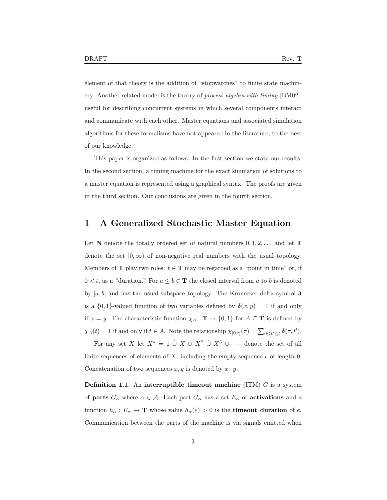element of that theory is the addition of "stopwatches" to finite state machinery. Another related model is the theory of process algebra with timing [BM02], useful for describing concurrent systems in which several components interact and communicate with each other. Master equations and associated simulation algorithms for these formalisms have not appeared in the literature, to the best

of our knowledge.

This paper is organized as follows. In the first section we state our results. In the second section, a timing machine for the exact simulation of solutions to a master equation is represented using a graphical syntax. The proofs are given in the third section. Our conclusions are given in the fourth section.

## 1 A Generalized Stochastic Master Equation

Let N denote the totally ordered set of natural numbers  $0, 1, 2, \ldots$  and let T denote the set  $[0, \infty)$  of non-negative real numbers with the usual topology. Members of **T** play two roles:  $t \in$  **T** may be regarded as a "point in time" or, if  $0 < t$ , as a "duration." For  $a \le b \in T$  the closed interval from a to b is denoted by [a, b] and has the usual subspace topology. The Kronecker delta symbol  $\delta$ is a  $\{0,1\}$ -valued function of two variables defined by  $\delta(x,y) = 1$  if and only if  $x = y$ . The characteristic function  $\chi_A : \mathbf{T} \to \{0,1\}$  for  $A \subseteq \mathbf{T}$  is defined by  $\chi_A(t) = 1$  if and only if  $t \in A$ . Note the relationship  $\chi_{[0,t]}(\tau) = \sum_{0 \le t' \le t} \delta(\tau, t').$ 

For any set X let  $X^* = 1 \cup X \cup X^2 \cup X^3 \cup \cdots$  denote the set of all finite sequences of elements of X, including the empty sequence  $\epsilon$  of length 0. Concatenation of two sequences  $x, y$  is denoted by  $x \cdot y$ .

**Definition 1.1.** An interruptible timeout machine  $(ITM)$  G is a system of **parts**  $G_{\alpha}$  where  $\alpha \in \mathcal{A}$ . Each part  $G_{\alpha}$  has a set  $E_{\alpha}$  of **activations** and a function  $h_{\alpha}: E_{\alpha} \to \mathbf{T}$  whose value  $h_{\alpha}(e) > 0$  is the **timeout duration** of e. Communication between the parts of the machine is via signals emitted when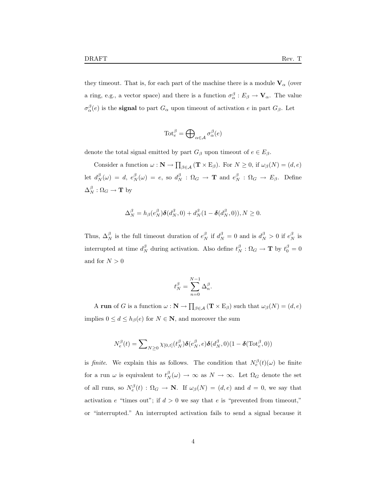they timeout. That is, for each part of the machine there is a module  $V_{\alpha}$  (over a ring, e.g., a vector space) and there is a function  $\sigma_{\alpha}^{\beta}: E_{\beta} \to \mathbf{V}_{\alpha}$ . The value  $\sigma_{\alpha}^{\beta}(e)$  is the **signal** to part  $G_{\alpha}$  upon timeout of activation e in part  $G_{\beta}$ . Let

$$
\text{Tot}_{e}^{\beta} = \bigoplus\nolimits_{\alpha \in \mathcal{A}} \sigma_{\alpha}^{\beta}(e)
$$

denote the total signal emitted by part  $G_{\beta}$  upon timeout of  $e \in E_{\beta}$ .

Consider a function  $\omega : \mathbf{N} \to \prod_{\beta \in \mathcal{A}} (\mathbf{T} \times \mathbf{E}_{\beta})$ . For  $N \geq 0$ , if  $\omega_{\beta}(N) = (d, e)$ let  $d_N^{\beta}(\omega) = d$ ,  $e_N^{\beta}(\omega) = e$ , so  $d_N^{\beta} : \Omega_G \rightarrow \mathbf{T}$  and  $e_N^{\beta} : \Omega_G \rightarrow E_{\beta}$ . Define  $\Delta_N^{\beta} : \Omega_G \to \mathbf{T}$  by

$$
\Delta_N^{\beta} = h_{\beta}(e_N^{\beta})\delta(d_N^{\beta}, 0) + d_N^{\beta}(1 - \delta(d_N^{\beta}, 0)), N \ge 0.
$$

Thus,  $\Delta_N^{\beta}$  is the full timeout duration of  $e_N^{\beta}$  if  $d_N^{\beta} = 0$  and is  $d_N^{\beta} > 0$  if  $e_N^{\beta}$  is interrupted at time  $d_N^{\beta}$  during activation. Also define  $t_N^{\beta} : \Omega_G \to \mathbf{T}$  by  $t_0^{\beta} = 0$ and for  $N > 0$ 

$$
t_N^{\beta} = \sum_{n=0}^{N-1} \Delta_n^{\beta}.
$$

A run of G is a function  $\omega : \mathbf{N} \to \prod_{\beta \in \mathcal{A}} (\mathbf{T} \times \mathbf{E}_{\beta})$  such that  $\omega_{\beta}(N) = (d, e)$ implies  $0 \leq d \leq h_{\beta}(e)$  for  $N \in \mathbb{N}$ , and moreover the sum

$$
N_e^{\beta}(t) = \sum_{N \geq 0} \chi_{[0,t]}(t_N^{\beta}) \delta(e_N^{\beta}, e) \delta(d_N^{\beta}, 0) (1 - \delta(\text{Tot}_e^{\beta}, 0))
$$

is finite. We explain this as follows. The condition that  $N_e^{\beta}(t)(\omega)$  be finite for a run  $\omega$  is equivalent to  $t_N^{\beta}(\omega) \to \infty$  as  $N \to \infty$ . Let  $\Omega_G$  denote the set of all runs, so  $N_e^{\beta}(t)$ :  $\Omega_G \to \mathbb{N}$ . If  $\omega_{\beta}(N) = (d, e)$  and  $d = 0$ , we say that activation e "times out"; if  $d > 0$  we say that e is "prevented from timeout," or "interrupted." An interrupted activation fails to send a signal because it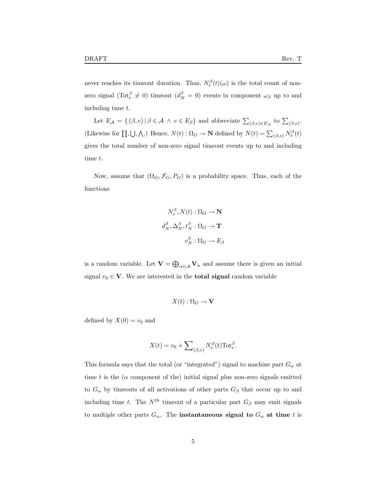time t.

never reaches its timeout duration. Thus,  $N_e^{\beta}(t)(\omega)$  is the total count of nonzero signal  $(\text{Tot}_{e}^{\beta} \neq 0)$  timeout  $(d_{N}^{\beta} = 0)$  events in component  $\omega_{\beta}$  up to and

including time t. Let  $E_{\mathcal{A}} = \{ (\beta, e) | \beta \in \mathcal{A} \land e \in E_{\beta} \}$  and abbreviate  $\sum_{(\beta, e) \in E_{\mathcal{A}}}$  to  $\sum_{(\beta, e)}$ . (Likewise for  $\Pi, \bigcup, \bigwedge$ .) Hence,  $N(t) : \Omega_G \to \mathbb{N}$  defined by  $N(t) = \sum_{(\beta,e)} N_e^{\beta}(t)$ gives the total number of non-zero signal timeout events up to and including

Now, assume that  $(\Omega_G, \mathcal{F}_G, P_G)$  is a probability space. Thus, each of the functions

$$
N_e^{\beta}, N(t) : \Omega_G \to \mathbf{N}
$$

$$
d_N^{\beta}, \Delta_N^{\beta}, t_N^{\beta} : \Omega_G \to \mathbf{T}
$$

$$
e_N^{\beta} : \Omega_G \to E_\beta
$$

is a random variable. Let  $\mathbf{V} = \bigoplus_{\alpha \in \mathcal{A}} \mathbf{V}_{\alpha}$  and assume there is given an initial signal  $v_0 \in \mathbf{V}$ . We are interested in the **total signal** random variable

$$
X(t): \Omega_G \to \mathbf{V}
$$

defined by  $X(0) = v_0$  and

$$
X(t) = v_0 + \sum\nolimits_{(\beta,e)} N_e^{\beta}(t) \text{Tot}_e^{\beta}.
$$

This formula says that the total (or "integrated") signal to machine part  $G_{\alpha}$  at time t is the ( $\alpha$  component of the) initial signal plus non-zero signals emitted to  $G_{\alpha}$  by timeouts of all activations of other parts  $G_{\beta}$  that occur up to and including time t. The  $N^{th}$  timeout of a particular part  $G_{\beta}$  may emit signals to multiple other parts  $G_{\alpha}$ . The **instantaneous signal to**  $G_{\alpha}$  at time t is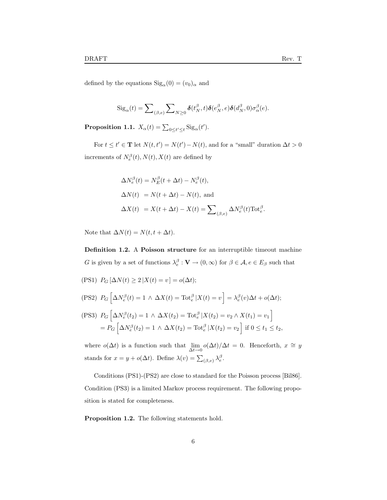defined by the equations  $\text{Sig}_{\alpha}(0) = (v_0)_{\alpha}$  and

$$
Sig_{\alpha}(t) = \sum\nolimits_{(\beta,e)} \sum\nolimits_{N\geq 0} \boldsymbol{\delta}(t_N^{\beta},t) \boldsymbol{\delta}(e_N^{\beta},e) \boldsymbol{\delta}(d_N^{\beta},0) \sigma_{\alpha}^{\beta}(e).
$$

**Proposition 1.1.**  $X_{\alpha}(t) = \sum_{0 \le t' \le t} \text{Sig}_{\alpha}(t')$ .

For  $t \leq t' \in \mathbf{T}$  let  $N(t, t') = N(t') - N(t)$ , and for a "small" duration  $\Delta t > 0$ increments of  $N_e^{\beta}(t), N(t), X(t)$  are defined by

$$
\Delta N_e^{\beta}(t) = N_E^{\beta}(t + \Delta t) - N_e^{\beta}(t),
$$
  
\n
$$
\Delta N(t) = N(t + \Delta t) - N(t),
$$
 and  
\n
$$
\Delta X(t) = X(t + \Delta t) - X(t) = \sum_{(\beta, e)} \Delta N_e^{\beta}(t) \text{Tot}_e^{\beta}.
$$

Note that  $\Delta N(t) = N(t, t + \Delta t)$ .

Definition 1.2. A Poisson structure for an interruptible timeout machine G is given by a set of functions  $\lambda_e^{\beta} : \mathbf{V} \to (0, \infty)$  for  $\beta \in \mathcal{A}, e \in E_{\beta}$  such that

(PS1)  $P_G \left[ \Delta N(t) \geq 2 | X(t) = v \right] = o(\Delta t);$ 

(PS2) 
$$
P_G\left[\Delta N_e^{\beta}(t) = 1 \wedge \Delta X(t) = \text{Tot}_e^{\beta} | X(t) = v\right] = \lambda_e^{\beta}(v)\Delta t + o(\Delta t);
$$

$$
\begin{aligned} \text{(PS3)} \ \ P_G \left[ \Delta N_e^{\beta}(t_2) = 1 \, \wedge \, \Delta X(t_2) = \text{Tot}_{e}^{\beta} \, | X(t_2) = v_2 \wedge X(t_1) = v_1 \right] \\ = P_G \left[ \Delta N_e^{\beta}(t_2) = 1 \, \wedge \, \Delta X(t_2) = \text{Tot}_{e}^{\beta} \, | X(t_2) = v_2 \right] \text{ if } 0 \le t_1 \le t_2, \end{aligned}
$$

where  $o(\Delta t)$  is a function such that  $\lim_{\Delta t \to 0} o(\Delta t)/\Delta t = 0$ . Henceforth,  $x \cong y$ stands for  $x = y + o(\Delta t)$ . Define  $\lambda(v) = \sum_{(\beta,e)} \lambda_e^{\beta}$ .

Conditions (PS1)-(PS2) are close to standard for the Poisson process [Bil86]. Condition (PS3) is a limited Markov process requirement. The following proposition is stated for completeness.

Proposition 1.2. The following statements hold.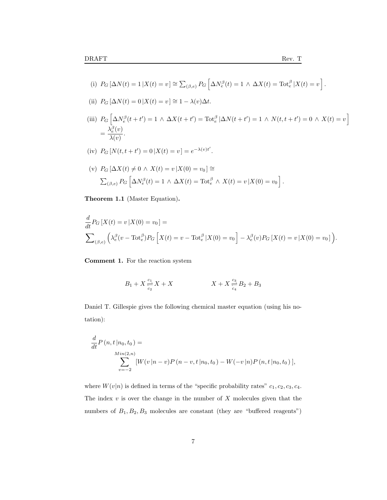.

(i) 
$$
P_G \left[ \Delta N(t) = 1 \, | X(t) = v \right] \cong \sum_{(\beta, e)} P_G \left[ \Delta N_e^{\beta}(t) = 1 \wedge \Delta X(t) = \text{Tot}_e^{\beta} \, | X(t) = v \right]
$$

(ii) 
$$
P_G[\Delta N(t) = 0 | X(t) = v] \approx 1 - \lambda(v)\Delta t
$$
.

(iii)  $P_G \left[ \Delta N_e^{\beta}(t + t') = 1 \wedge \Delta X(t + t') \right] = \text{Tot}_{e}^{\beta} |\Delta N(t + t') = 1 \wedge N(t, t + t') = 0 \wedge X(t) = v \right]$  $=\frac{\lambda_e^{\beta}(v)}{\lambda}$  $\frac{\lambda(e^{v})}{\lambda(v)}$ .

(iv) 
$$
P_G[N(t, t + t') = 0 | X(t) = v] = e^{-\lambda(v)t'}
$$
.

(v) 
$$
P_G \left[ \Delta X(t) \neq 0 \land X(t) = v \mid X(0) = v_0 \right] \cong
$$
  

$$
\sum_{(\beta,e)} P_G \left[ \Delta N_e^{\beta}(t) = 1 \land \Delta X(t) = \text{Tot}_e^{\beta} \land X(t) = v \mid X(0) = v_0 \right].
$$

Theorem 1.1 (Master Equation).

$$
\frac{d}{dt} P_G \left[ X(t) = v \, | X(0) = v_0 \right] =
$$
\n
$$
\sum_{(\beta, e)} \left( \lambda_e^{\beta} (v - \text{Tot}_e^{\beta}) P_G \left[ X(t) = v - \text{Tot}_e^{\beta} \, | X(0) = v_0 \right] - \lambda_e^{\beta} (v) P_G \left[ X(t) = v \, | X(0) = v_0 \right] \right).
$$

Comment 1. For the reaction system

$$
B_1 + X \frac{c_1}{c_2} X + X \qquad \qquad X + X \frac{c_3}{c_4} B_2 + B_3
$$

Daniel T. Gillespie gives the following chemical master equation (using his notation):

$$
\frac{d}{dt}P(n,t|n_0,t_0) =
$$
\n
$$
\sum_{v=-2}^{Min(2,n)} [W(v|n-v)P(n-v,t|n_0,t_0) - W(-v|n)P(n,t|n_0,t_0)],
$$

where  $W(v|n)$  is defined in terms of the "specific probability rates"  $c_1, c_2, c_3, c_4$ . The index  $v$  is over the change in the number of  $X$  molecules given that the numbers of  $B_1, B_2, B_3$  molecules are constant (they are "buffered reagents")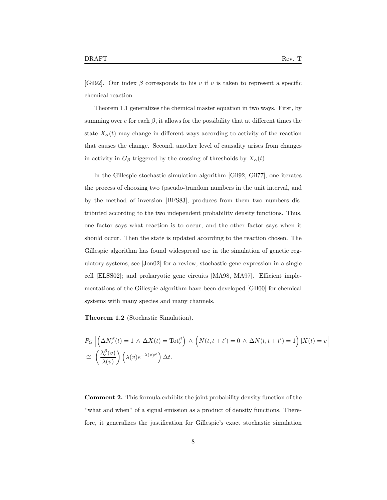[Gil92]. Our index  $\beta$  corresponds to his v if v is taken to represent a specific chemical reaction.

Theorem 1.1 generalizes the chemical master equation in two ways. First, by summing over  $e$  for each  $\beta$ , it allows for the possibility that at different times the state  $X_{\alpha}(t)$  may change in different ways according to activity of the reaction that causes the change. Second, another level of causality arises from changes in activity in  $G_\beta$  triggered by the crossing of thresholds by  $X_\alpha(t)$ .

In the Gillespie stochastic simulation algorithm [Gil92, Gil77], one iterates the process of choosing two (pseudo-)random numbers in the unit interval, and by the method of inversion [BFS83], produces from them two numbers distributed according to the two independent probability density functions. Thus, one factor says what reaction is to occur, and the other factor says when it should occur. Then the state is updated according to the reaction chosen. The Gillespie algorithm has found widespread use in the simulation of genetic regulatory systems, see [Jon02] for a review; stochastic gene expression in a single cell [ELSS02]; and prokaryotic gene circuits [MA98, MA97]. Efficient implementations of the Gillespie algorithm have been developed [GB00] for chemical systems with many species and many channels.

Theorem 1.2 (Stochastic Simulation).

$$
P_G\left[\left(\Delta N_e^{\beta}(t) = 1 \land \Delta X(t) = \text{Tot}_e^{\beta}\right) \land \left(N(t, t + t') = 0 \land \Delta N(t, t + t') = 1\right)|X(t) = v\right]
$$
  
\n
$$
\cong \left(\frac{\lambda_e^{\beta}(v)}{\lambda(v)}\right) \left(\lambda(v)e^{-\lambda(v)t'}\right) \Delta t.
$$

Comment 2. This formula exhibits the joint probability density function of the "what and when" of a signal emission as a product of density functions. Therefore, it generalizes the justification for Gillespie's exact stochastic simulation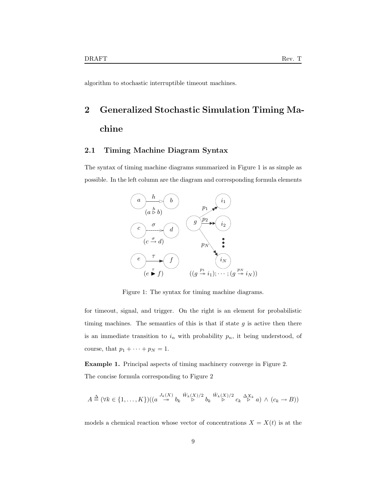algorithm to stochastic interruptible timeout machines.

# 2 Generalized Stochastic Simulation Timing Machine

### 2.1 Timing Machine Diagram Syntax

The syntax of timing machine diagrams summarized in Figure 1 is as simple as possible. In the left column are the diagram and corresponding formula elements



Figure 1: The syntax for timing machine diagrams.

for timeout, signal, and trigger. On the right is an element for probabilistic timing machines. The semantics of this is that if state  $g$  is active then there is an immediate transition to  $i_n$  with probability  $p_n$ , it being understood, of course, that  $p_1 + \cdots + p_N = 1$ .

Example 1. Principal aspects of timing machinery converge in Figure 2. The concise formula corresponding to Figure 2

$$
A \stackrel{\Delta}{=} (\forall k \in \{1, ..., K\}) \big( (a \stackrel{J_k(X)}{\to} b_k \stackrel{\tilde{W}_k(X)/2}{\triangleright} b_k \stackrel{\tilde{W}_k(X)/2}{\triangleright} c_k \stackrel{\Delta X_k}{\triangleright} a) \land (c_k \to B))
$$

models a chemical reaction whose vector of concentrations  $X = X(t)$  is at the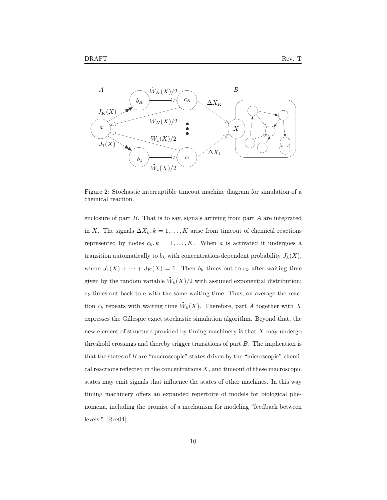

Figure 2: Stochastic interruptible timeout machine diagram for simulation of a chemical reaction.

enclosure of part  $B$ . That is to say, signals arriving from part  $A$  are integrated in X. The signals  $\Delta X_k, k = 1, ..., K$  arise from timeout of chemical reactions represented by nodes  $c_k, k = 1, ..., K$ . When a is activated it undergoes a transition automatically to  $b_k$  with concentration-dependent probability  $J_k(X)$ , where  $J_1(X) + \cdots + J_K(X) = 1$ . Then  $b_k$  times out to  $c_k$  after waiting time given by the random variable  $\tilde{W}_k(X)/2$  with assumed exponential distribution;  $c_k$  times out back to  $a$  with the same waiting time. Thus, on average the reaction  $c_k$  repeats with waiting time  $\tilde{W}_k(X)$ . Therefore, part A together with X expresses the Gillespie exact stochastic simulation algorithm. Beyond that, the new element of structure provided by timing machinery is that X may undergo threshold crossings and thereby trigger transitions of part B. The implication is that the states of B are "macroscopic" states driven by the "microscopic" chemical reactions reflected in the concentrations  $X$ , and timeout of these macroscopic states may emit signals that influence the states of other machines. In this way timing machinery offers an expanded repertoire of models for biological phenomena, including the promise of a mechanism for modeling "feedback between levels." [Ree04]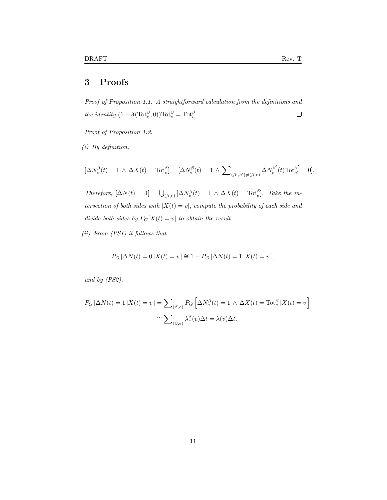# 3 Proofs

Proof of Proposition 1.1. A straightforward calculation from the definitions and the identity  $(1 - \delta(\text{Tot}_e^{\beta}, 0)) \text{Tot}_e^{\beta} = \text{Tot}_e^{\beta}.$  $\Box$ 

Proof of Proposition 1.2.

(i) By definition,

$$
[\Delta N_e^{\beta}(t) = 1 \wedge \Delta X(t) = \text{Tot}_{e}^{\beta}] = [\Delta N_e^{\beta}(t) = 1 \wedge \sum_{(\beta', e') \neq (\beta, e)} \Delta N_{e'}^{\beta'}(t) \text{Tot}_{e'}^{\beta'} = 0].
$$

Therefore,  $[\Delta N(t) = 1] = \bigcup_{(\beta,e)} [\Delta N_e^{\beta}(t) = 1 \wedge \Delta X(t) = \text{Tot}_e^{\beta}].$  Take the intersection of both sides with  $[X(t) = v]$ , compute the probability of each side and divide both sides by  $P_G[X(t) = v]$  to obtain the result.

(ii) From (PS1) it follows that

$$
P_G [\Delta N(t) = 0 | X(t) = v] \cong 1 - P_G [\Delta N(t) = 1 | X(t) = v],
$$

and by (PS2),

$$
P_G\left[\Delta N(t) = 1 \,|\, X(t) = v\right] = \sum_{(\beta,e)} P_G\left[\Delta N_e^{\beta}(t) = 1 \,\wedge \,\Delta X(t) = \text{Tot}_e^{\beta} \,|\, X(t) = v\right]
$$

$$
\cong \sum_{(\beta,e)} \lambda_e^{\beta}(v)\Delta t = \lambda(v)\Delta t.
$$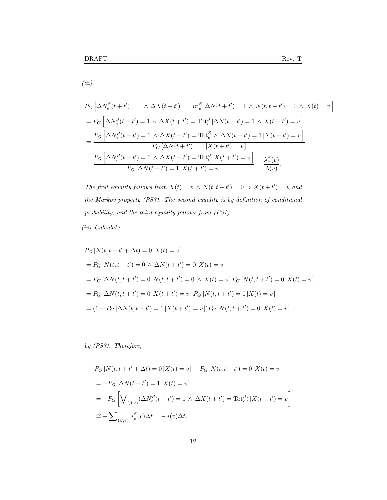(iii)

$$
P_G\left[\Delta N_e^{\beta}(t+t')=1 \wedge \Delta X(t+t')=\text{Tot}_e^{\beta}|\Delta N(t+t')=1 \wedge N(t,t+t')=0 \wedge X(t)=v\right]
$$
  
= 
$$
P_G\left[\Delta N_e^{\beta}(t+t')=1 \wedge \Delta X(t+t')=\text{Tot}_e^{\beta}|\Delta N(t+t')=1 \wedge X(t+t')=v\right]
$$
  
= 
$$
\frac{P_G\left[\Delta N_e^{\beta}(t+t')=1 \wedge \Delta X(t+t')=\text{Tot}_e^{\beta} \wedge \Delta N(t+t')=1|X(t+t')=v\right]}{P_G\left[\Delta N(t+t')=1|X(t+t')=v\right]}
$$
  
= 
$$
\frac{P_G\left[\Delta N_e^{\beta}(t+t')=1 \wedge \Delta X(t+t')=\text{Tot}_e^{\beta}|X(t+t')=v\right]}{P_G\left[\Delta N(t+t')=1|X(t+t')=v\right]}=\frac{\lambda_e^{\beta}(v)}{\lambda(v)}.
$$

The first equality follows from  $X(t) = v \wedge N(t, t + t') = 0 \Rightarrow X(t + t') = v$  and the Markov property (PS3). The second equality is by definition of conditional probability, and the third equality follows from (PS1).

### (iv) Calculate

$$
P_G[N(t, t + t' + \Delta t) = 0 | X(t) = v]
$$
  
=  $P_G[N(t, t + t') = 0 \wedge \Delta N(t + t') = 0 | X(t) = v]$   
=  $P_G[\Delta N(t, t + t') = 0 | N(t, t + t') = 0 \wedge X(t) = v] P_G[N(t, t + t') = 0 | X(t) = v]$   
=  $P_G[\Delta N(t, t + t') = 0 | X(t + t') = v] P_G[N(t, t + t') = 0 | X(t) = v]$   
=  $(1 - P_G[\Delta N(t, t + t') = 1 | X(t + t') = v]) P_G[N(t, t + t') = 0 | X(t) = v]$ 

by (PS3). Therefore,

$$
P_G\left[N(t, t+t'+\Delta t) = 0 \,|\, X(t) = v\right] - P_G\left[N(t, t+t') = 0 \,|\, X(t) = v\right]
$$
\n
$$
= -P_G\left[\Delta N(t+t') = 1 \,|\, X(t) = v\right]
$$
\n
$$
= -P_G\left[\bigvee_{(\beta, e)} (\Delta N_e^{\beta}(t+t') = 1 \,\wedge \,\Delta X(t+t') = \text{Tot}_e^{\beta}) \,|\, X(t+t') = v\right]
$$
\n
$$
\approx -\sum_{(\beta, e)} \lambda_e^{\beta}(v)\Delta t = -\lambda(v)\Delta t.
$$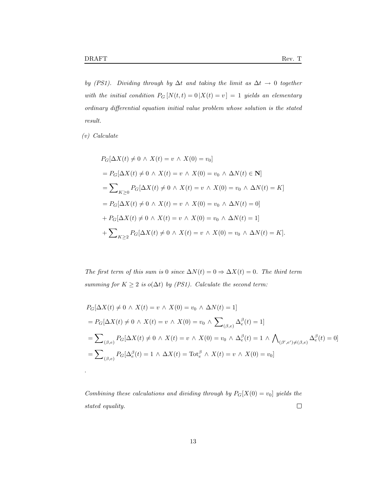by (PS1). Dividing through by  $\Delta t$  and taking the limit as  $\Delta t \rightarrow 0$  together with the initial condition  $P_G[N(t,t) = 0 | X(t) = v] = 1$  yields an elementary ordinary differential equation initial value problem whose solution is the stated result.

(v) Calculate

.

$$
P_G[\Delta X(t) \neq 0 \wedge X(t) = v \wedge X(0) = v_0]
$$
  
=  $P_G[\Delta X(t) \neq 0 \wedge X(t) = v \wedge X(0) = v_0 \wedge \Delta N(t) \in \mathbf{N}]$   
=  $\sum_{K \geq 0} P_G[\Delta X(t) \neq 0 \wedge X(t) = v \wedge X(0) = v_0 \wedge \Delta N(t) = K]$   
=  $P_G[\Delta X(t) \neq 0 \wedge X(t) = v \wedge X(0) = v_0 \wedge \Delta N(t) = 0]$   
+  $P_G[\Delta X(t) \neq 0 \wedge X(t) = v \wedge X(0) = v_0 \wedge \Delta N(t) = 1]$   
+  $\sum_{K \geq 2} P_G[\Delta X(t) \neq 0 \wedge X(t) = v \wedge X(0) = v_0 \wedge \Delta N(t) = K].$ 

The first term of this sum is 0 since  $\Delta N(t) = 0 \Rightarrow \Delta X(t) = 0$ . The third term summing for  $K \geq 2$  is o( $\Delta t$ ) by (PS1). Calculate the second term:

$$
P_G[\Delta X(t) \neq 0 \wedge X(t) = v \wedge X(0) = v_0 \wedge \Delta N(t) = 1]
$$
  
=  $P_G[\Delta X(t) \neq 0 \wedge X(t) = v \wedge X(0) = v_0 \wedge \sum_{(\beta,e)} \Delta_e^{\beta}(t) = 1]$   
=  $\sum_{(\beta,e)} P_G[\Delta X(t) \neq 0 \wedge X(t) = v \wedge X(0) = v_0 \wedge \Delta_e^{\beta}(t) = 1 \wedge \bigwedge_{(\beta',e') \neq (\beta,e)} \Delta_e^{\beta}(t) = 0]$   
=  $\sum_{(\beta,e)} P_G[\Delta_e^{\beta}(t) = 1 \wedge \Delta X(t) = \text{Tot}_e^{\beta} \wedge X(t) = v \wedge X(0) = v_0]$ 

Combining these calculations and dividing through by  $P_G[X(0) = v_0]$  yields the  $\Box$ stated equality.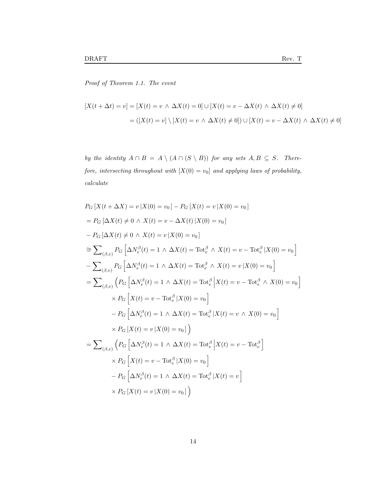Proof of Theorem 1.1. The event

$$
[X(t + \Delta t) = v] = [X(t) = v \wedge \Delta X(t) = 0] \cup [X(t) = v - \Delta X(t) \wedge \Delta X(t) \neq 0]
$$

$$
= ([X(t) = v] \setminus [X(t) = v \wedge \Delta X(t) \neq 0]) \cup [X(t) = v - \Delta X(t) \wedge \Delta X(t) \neq 0]
$$

by the identity  $A \cap B = A \setminus (A \cap (S \setminus B))$  for any sets  $A, B \subseteq S$ . Therefore, intersecting throughout with  $[X(0) = v_0]$  and applying laws of probability,  $calcu$ 

$$
P_G[X(t + \Delta X) = v | X(0) = v_0] - P_G[X(t) = v | X(0) = v_0]
$$
  
\n
$$
= P_G[\Delta X(t) \neq 0 \land X(t) = v - \Delta X(t) | X(0) = v_0]
$$
  
\n
$$
- P_G[\Delta X(t) \neq 0 \land X(t) = v | X(0) = v_0]
$$
  
\n
$$
\approx \sum_{(\beta, e)} P_G[\Delta N_e^{\beta}(t) = 1 \land \Delta X(t) = \text{Tot}_e^{\beta} \land X(t) = v - \text{Tot}_e^{\beta} | X(0) = v_0]
$$
  
\n
$$
- \sum_{(\beta, e)} P_G[\Delta N_e^{\beta}(t) = 1 \land \Delta X(t) = \text{Tot}_e^{\beta} \land X(t) = v | X(0) = v_0]
$$
  
\n
$$
= \sum_{(\beta, e)} (P_G[\Delta N_e^{\beta}(t) = 1 \land \Delta X(t) = \text{Tot}_e^{\beta} | X(t) = v - \text{Tot}_e^{\beta} \land X(0) = v_0]
$$
  
\n
$$
\times P_G[X(t) = v - \text{Tot}_e^{\beta} | X(0) = v_0]
$$
  
\n
$$
- P_G[\Delta N_e^{\beta}(t) = 1 \land \Delta X(t) = \text{Tot}_e^{\beta} | X(t) = v \land X(0) = v_0]
$$
  
\n
$$
\times P_G[X(t) = v | X(0) = v_0])
$$
  
\n
$$
= \sum_{(\beta, e)} (P_G[\Delta N_e^{\beta}(t) = 1 \land \Delta X(t) = \text{Tot}_e^{\beta} | X(t) = v - \text{Tot}_e^{\beta}]
$$
  
\n
$$
\times P_G[X(t) = v - \text{Tot}_e^{\beta} | X(0) = v_0]
$$
  
\n
$$
- P_G[\Delta N_e^{\beta}(t) = 1 \land \Delta X(t) = \text{Tot}_e^{\beta} | X(t) = v - \text{Tot}_e^{\beta}]
$$
  
\n
$$
\times P_G[X(t) = v - \text{Tot}_e^{\beta} | X(0) = v_0]
$$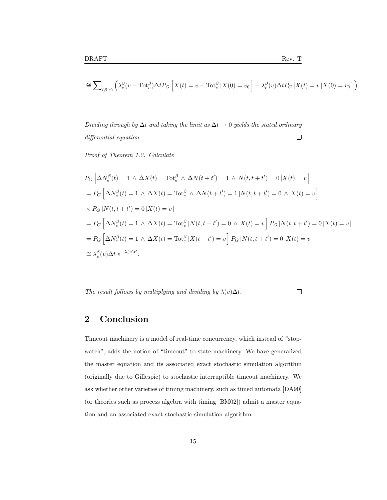$$
\cong \sum\nolimits_{(\beta,e)}\Big(\lambda_e^\beta(v-\mathrm{Tot}_e^\beta)\Delta t P_G\left[X(t)=v-\mathrm{Tot}_e^\beta\left|X(0)=v_0\right.\right]-\lambda_e^\beta(v)\Delta t P_G\left[X(t)=v\left|X(0)=v_0\right.\right)\Big).
$$

Dividing through by  $\Delta t$  and taking the limit as  $\Delta t \rightarrow 0$  yields the stated ordinary differential equation.  $\Box$ 

Proof of Theorem 1.2. Calculate

$$
P_G\left[\Delta N_e^{\beta}(t) = 1 \wedge \Delta X(t) = \text{Tot}_{e}^{\beta} \wedge \Delta N(t + t') = 1 \wedge N(t, t + t') = 0 \, |X(t) = v\right]
$$
  
\n
$$
= P_G\left[\Delta N_e^{\beta}(t) = 1 \wedge \Delta X(t) = \text{Tot}_{e}^{\beta} \wedge \Delta N(t + t') = 1 \, |N(t, t + t') = 0 \wedge X(t) = v\right]
$$
  
\n
$$
\times P_G\left[N(t, t + t') = 0 \, |X(t) = v\right]
$$
  
\n
$$
= P_G\left[\Delta N_e^{\beta}(t) = 1 \wedge \Delta X(t) = \text{Tot}_{e}^{\beta} \, |N(t, t + t') = 0 \wedge X(t) = v\right] P_G\left[N(t, t + t') = 0 \, |X(t) = v\right]
$$
  
\n
$$
= P_G\left[\Delta N_e^{\beta}(t) = 1 \wedge \Delta X(t) = \text{Tot}_{e}^{\beta} \, |X(t + t') = v\right] P_G\left[N(t, t + t') = 0 \, |X(t) = v\right]
$$
  
\n
$$
\approx \lambda_e^{\beta}(v)\Delta t \, e^{-\lambda(v)t'}.
$$

The result follows by multiplying and dividing by  $\lambda(v)\Delta t$ .

 $\Box$ 

## 2 Conclusion

Timeout machinery is a model of real-time concurrency, which instead of "stopwatch", adds the notion of "timeout" to state machinery. We have generalized the master equation and its associated exact stochastic simulation algorithm (originally due to Gillespie) to stochastic interruptible timeout machinery. We ask whether other varieties of timing machinery, such as timed automata [DA90] (or theories such as process algebra with timing [BM02]) admit a master equation and an associated exact stochastic simulation algorithm.